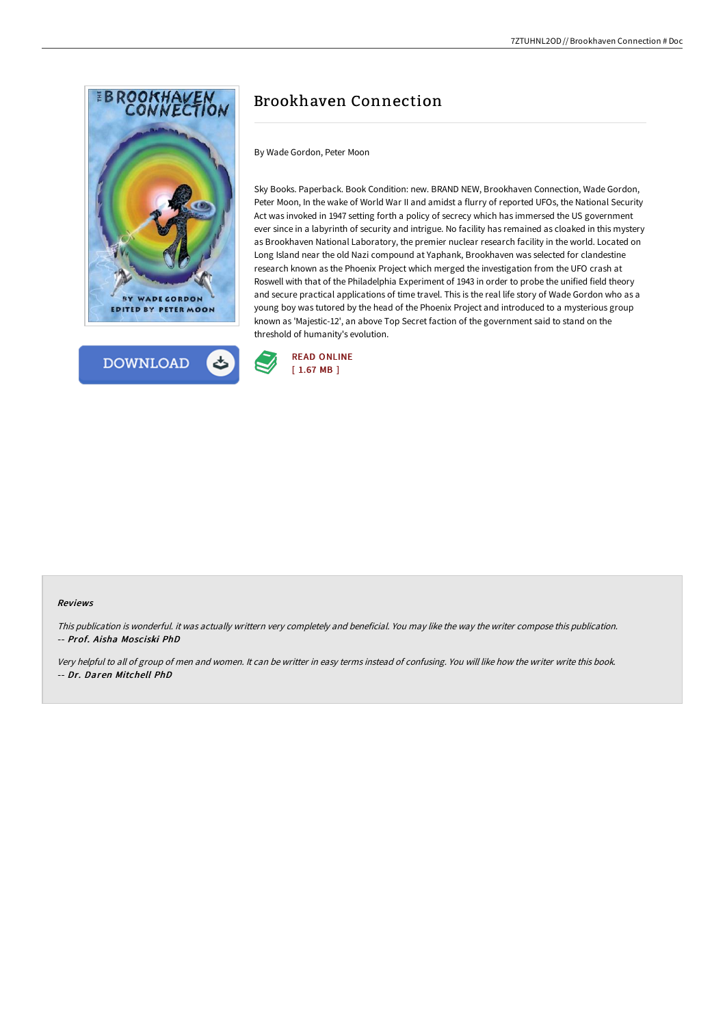



# Brookhaven Connection

By Wade Gordon, Peter Moon

Sky Books. Paperback. Book Condition: new. BRAND NEW, Brookhaven Connection, Wade Gordon, Peter Moon, In the wake of World War II and amidst a flurry of reported UFOs, the National Security Act was invoked in 1947 setting forth a policy of secrecy which has immersed the US government ever since in a labyrinth of security and intrigue. No facility has remained as cloaked in this mystery as Brookhaven National Laboratory, the premier nuclear research facility in the world. Located on Long Island near the old Nazi compound at Yaphank, Brookhaven was selected for clandestine research known as the Phoenix Project which merged the investigation from the UFO crash at Roswell with that of the Philadelphia Experiment of 1943 in order to probe the unified field theory and secure practical applications of time travel. This is the real life story of Wade Gordon who as a young boy was tutored by the head of the Phoenix Project and introduced to a mysterious group known as 'Majestic-12', an above Top Secret faction of the government said to stand on the threshold of humanity's evolution.



#### Reviews

This publication is wonderful. it was actually writtern very completely and beneficial. You may like the way the writer compose this publication. -- Prof. Aisha Mosciski PhD

Very helpful to all of group of men and women. It can be writter in easy terms instead of confusing. You will like how the writer write this book. -- Dr. Daren Mitchell PhD